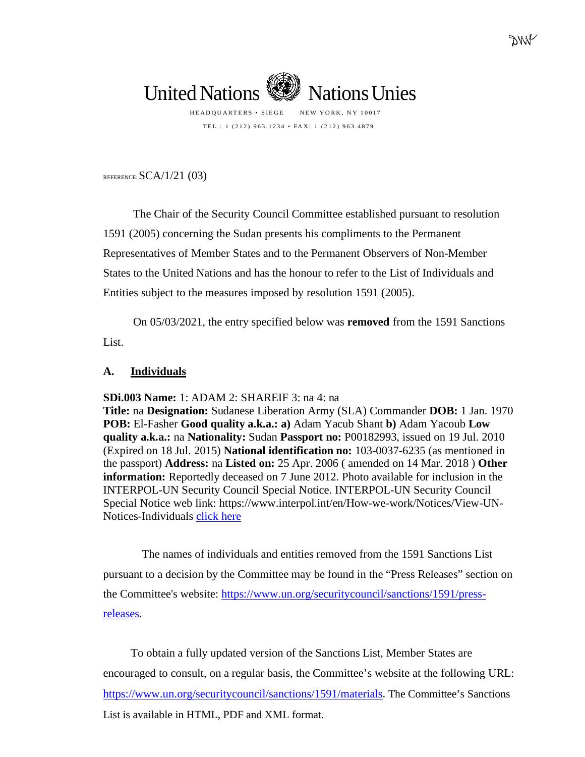TEL.: 1 (212) 963.1234 • FAX: 1 (212) 963.4879

REFERENCE:  $SCA/1/21$  (03)

The Chair of the Security Council Committee established pursuant to resolution 1591 (2005) concerning the Sudan presents his compliments to the Permanent Representatives of Member States and to the Permanent Observers of Non-Member States to the United Nations and has the honour to refer to the List of Individuals and Entities subject to the measures imposed by resolution 1591 (2005).

On 05/03/2021, the entry specified below was **removed** from the 1591 Sanctions List.

## **A. Individuals**

**SDi.003 Name:** 1: ADAM 2: SHAREIF 3: na 4: na

**Title:** na **Designation:** Sudanese Liberation Army (SLA) Commander **DOB:** 1 Jan. 1970 **POB:** El-Fasher **Good quality a.k.a.: a)** Adam Yacub Shant **b)** Adam Yacoub **Low quality a.k.a.:** na **Nationality:** Sudan **Passport no:** P00182993, issued on 19 Jul. 2010 (Expired on 18 Jul. 2015) **National identification no:** 103-0037-6235 (as mentioned in the passport) **Address:** na **Listed on:** 25 Apr. 2006 ( amended on 14 Mar. 2018 ) **Other information:** Reportedly deceased on 7 June 2012. Photo available for inclusion in the INTERPOL-UN Security Council Special Notice. INTERPOL-UN Security Council Special Notice web link: https://www.interpol.int/en/How-we-work/Notices/View-UN-Notices-Individuals [click here](https://www.interpol.int/en/How-we-work/Notices/View-UN-Notices-Individuals)

The names of individuals and entities removed from the 1591 Sanctions List pursuant to a decision by the Committee may be found in the "Press Releases" section on the Committee's website: [https://www.un.org/securitycouncil/sanctions/1591/press](https://www.un.org/securitycouncil/sanctions/1591/press-releases)[releases.](https://www.un.org/securitycouncil/sanctions/1591/press-releases)

To obtain a fully updated version of the Sanctions List, Member States are encouraged to consult, on a regular basis, the Committee's website at the following URL: <https://www.un.org/securitycouncil/sanctions/1591/materials>. The Committee's Sanctions List is available in HTML, PDF and XML format.